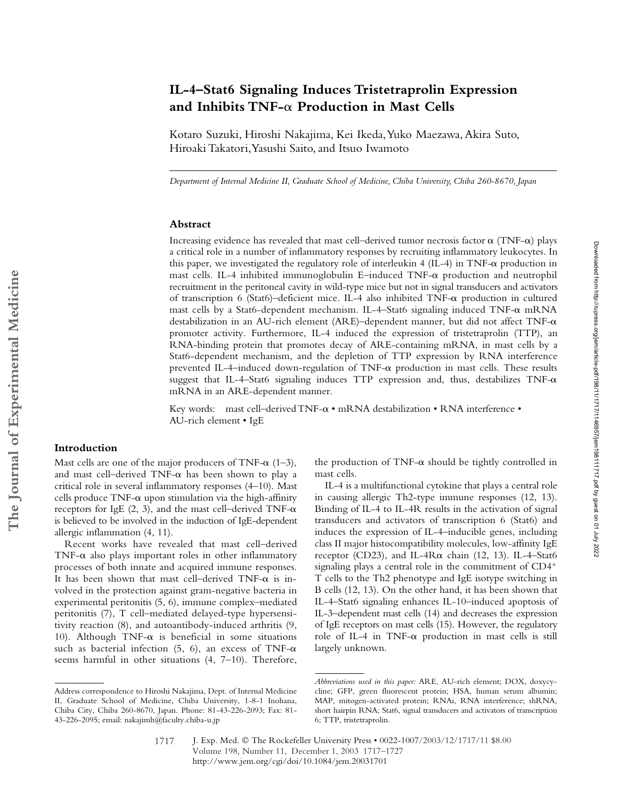# **IL-4–Stat6 Signaling Induces Tristetraprolin Expression**  and Inhibits TNF- $\alpha$  Production in Mast Cells

Kotaro Suzuki, Hiroshi Nakajima, Kei Ikeda, Yuko Maezawa, Akira Suto, Hiroaki Takatori, Yasushi Saito, and Itsuo Iwamoto

*Department of Internal Medicine II, Graduate School of Medicine, Chiba University, Chiba 260-8670, Japan*

## **Abstract**

Increasing evidence has revealed that mast cell–derived tumor necrosis factor  $\alpha$  (TNF- $\alpha$ ) plays a critical role in a number of inflammatory responses by recruiting inflammatory leukocytes. In this paper, we investigated the regulatory role of interleukin 4 (IL-4) in TNF- $\alpha$  production in mast cells. IL-4 inhibited immunoglobulin E–induced  $\text{TNF}-\alpha$  production and neutrophil recruitment in the peritoneal cavity in wild-type mice but not in signal transducers and activators of transcription 6 (Stat6)-deficient mice. IL-4 also inhibited  $TNF-\alpha$  production in cultured mast cells by a Stat6-dependent mechanism. IL-4-Stat6 signaling induced TNF- $\alpha$  mRNA destabilization in an AU-rich element (ARE)–dependent manner, but did not affect  $TNF-\alpha$ promoter activity. Furthermore, IL-4 induced the expression of tristetraprolin (TTP), an RNA-binding protein that promotes decay of ARE-containing mRNA, in mast cells by a Stat6-dependent mechanism, and the depletion of TTP expression by RNA interference prevented IL-4–induced down-regulation of  $TNF-\alpha$  production in mast cells. These results suggest that IL-4–Stat6 signaling induces TTP expression and, thus, destabilizes  $TNF-\alpha$ mRNA in an ARE-dependent manner.

Key words: mast cell-derived TNF- $\alpha \cdot mRNA$  destabilization  $\cdot RM$  interference  $\cdot$ AU-rich element • IgE

# **Introduction**

Mast cells are one of the major producers of TNF- $\alpha$  (1-3), and mast cell–derived  $TNF-\alpha$  has been shown to play a critical role in several inflammatory responses (4–10). Mast  $cells$  produce TNF- $\alpha$  upon stimulation via the high-affinity receptors for IgE  $(2, 3)$ , and the mast cell–derived TNF- $\alpha$ is believed to be involved in the induction of IgE-dependent allergic inflammation (4, 11).

Recent works have revealed that mast cell–derived  $TNF-\alpha$  also plays important roles in other inflammatory processes of both innate and acquired immune responses. It has been shown that mast cell-derived TNF- $\alpha$  is involved in the protection against gram-negative bacteria in experimental peritonitis (5, 6), immune complex–mediated peritonitis (7), T cell–mediated delayed-type hypersensitivity reaction (8), and autoantibody-induced arthritis (9, 10). Although TNF- $\alpha$  is beneficial in some situations such as bacterial infection (5, 6), an excess of TNF- $\alpha$ seems harmful in other situations (4, 7–10). Therefore,

the production of TNF- $\alpha$  should be tightly controlled in mast cells.

Downloaded from http://rupress.org/jem/article-pdf/198/11/1717/1146957/jenn198111717.pdf by guest on 01 July 2022 Downloaded from http://rupress.org/jem/article-pdf/198/11/1717/1146957/jem198111717.pdf by guest on 01 July 2022

IL-4 is a multifunctional cytokine that plays a central role in causing allergic Th2-type immune responses (12, 13). Binding of IL-4 to IL-4R results in the activation of signal transducers and activators of transcription 6 (Stat6) and induces the expression of IL-4–inducible genes, including class II major histocompatibility molecules, low-affinity IgE receptor (CD23), and IL-4 $R\alpha$  chain (12, 13). IL-4–Stat6 signaling plays a central role in the commitment of CD4 T cells to the Th2 phenotype and IgE isotype switching in B cells (12, 13). On the other hand, it has been shown that IL-4–Stat6 signaling enhances IL-10–induced apoptosis of IL-3–dependent mast cells (14) and decreases the expression of IgE receptors on mast cells (15). However, the regulatory role of IL-4 in TNF- $\alpha$  production in mast cells is still largely unknown.

Address correspondence to Hiroshi Nakajima, Dept. of Internal Medicine II, Graduate School of Medicine, Chiba University, 1-8-1 Inohana, Chiba City, Chiba 260-8670, Japan. Phone: 81-43-226-2093; Fax: 81- 43-226-2095; email: nakajimh@faculty.chiba-u.jp

*Abbreviations used in this paper:* ARE, AU-rich element; DOX, doxycycline; GFP, green fluorescent protein; HSA, human serum albumin; MAP, mitogen-activated protein; RNAi, RNA interference; shRNA, short hairpin RNA; Stat6, signal transducers and activators of transcription 6; TTP, tristetraprolin.

J. Exp. Med. © The Rockefeller University Press • 0022-1007/2003/12/1717/11 \$8.00 Volume 198, Number 11, December 1, 2003 1717–1727 http://www.jem.org/cgi/doi/10.1084/jem.20031701 1717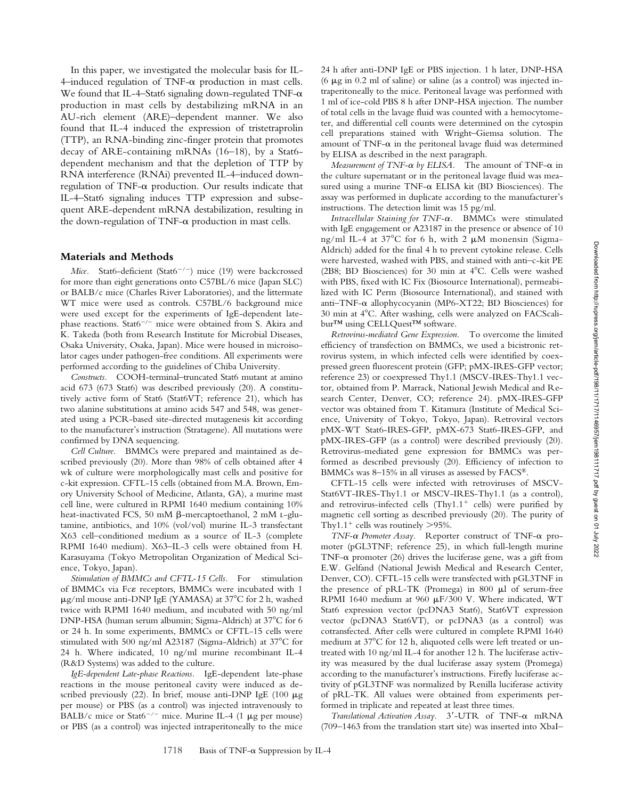In this paper, we investigated the molecular basis for IL- $4$ -induced regulation of TNF- $\alpha$  production in mast cells. We found that IL-4-Stat6 signaling down-regulated TNF- $\alpha$ production in mast cells by destabilizing mRNA in an AU-rich element (ARE)–dependent manner. We also found that IL-4 induced the expression of tristetraprolin (TTP), an RNA-binding zinc-finger protein that promotes decay of ARE-containing mRNAs (16–18), by a Stat6 dependent mechanism and that the depletion of TTP by RNA interference (RNAi) prevented IL-4–induced downregulation of TNF- $\alpha$  production. Our results indicate that IL-4–Stat6 signaling induces TTP expression and subsequent ARE-dependent mRNA destabilization, resulting in the down-regulation of TNF- $\alpha$  production in mast cells.

#### **Materials and Methods**

*Mice.* Stat6-deficient (Stat6<sup>-/-</sup>) mice (19) were backcrossed for more than eight generations onto C57BL/6 mice (Japan SLC) or BALB/c mice (Charles River Laboratories), and the littermate WT mice were used as controls. C57BL/6 background mice were used except for the experiments of IgE-dependent latephase reactions. Stat $6^{-/-}$  mice were obtained from S. Akira and K. Takeda (both from Research Institute for Microbial Diseases, Osaka University, Osaka, Japan). Mice were housed in microisolator cages under pathogen-free conditions. All experiments were performed according to the guidelines of Chiba University.

*Constructs.* COOH-terminal–truncated Stat6 mutant at amino acid 673 (673 Stat6) was described previously (20). A constitutively active form of Stat6 (Stat6VT; reference 21), which has two alanine substitutions at amino acids 547 and 548, was generated using a PCR-based site-directed mutagenesis kit according to the manufacturer's instruction (Stratagene). All mutations were confirmed by DNA sequencing.

*Cell Culture.* BMMCs were prepared and maintained as described previously (20). More than 98% of cells obtained after 4 wk of culture were morphologically mast cells and positive for c-kit expression. CFTL-15 cells (obtained from M.A. Brown, Emory University School of Medicine, Atlanta, GA), a murine mast cell line, were cultured in RPMI 1640 medium containing 10% heat-inactivated FCS, 50 mM  $\beta$ -mercaptoethanol, 2 mM L-glutamine, antibiotics, and 10% (vol/vol) murine IL-3 transfectant X63 cell–conditioned medium as a source of IL-3 (complete RPMI 1640 medium). X63–IL-3 cells were obtained from H. Karasuyama (Tokyo Metropolitan Organization of Medical Science, Tokyo, Japan).

*Stimulation of BMMCs and CFTL-15 Cells.* For stimulation of BMMCs via Fc& receptors, BMMCs were incubated with 1  $\mu$ g/ml mouse anti-DNP IgE (YAMASA) at 37°C for 2 h, washed twice with RPMI 1640 medium, and incubated with 50 ng/ml DNP-HSA (human serum albumin; Sigma-Aldrich) at 37<sup>°</sup>C for 6 or 24 h. In some experiments, BMMCs or CFTL-15 cells were stimulated with 500 ng/ml A23187 (Sigma-Aldrich) at  $37^{\circ}$ C for 24 h. Where indicated, 10 ng/ml murine recombinant IL-4 (R&D Systems) was added to the culture.

*IgE-dependent Late-phase Reactions.* IgE-dependent late-phase reactions in the mouse peritoneal cavity were induced as described previously (22). In brief, mouse anti-DNP IgE (100  $\mu$ g per mouse) or PBS (as a control) was injected intravenously to BALB/c mice or Stat6<sup>-/-</sup> mice. Murine IL-4 (1  $\mu$ g per mouse) or PBS (as a control) was injected intraperitoneally to the mice 24 h after anti-DNP IgE or PBS injection. 1 h later, DNP-HSA (6  $\mu$ g in 0.2 ml of saline) or saline (as a control) was injected intraperitoneally to the mice. Peritoneal lavage was performed with 1 ml of ice-cold PBS 8 h after DNP-HSA injection. The number of total cells in the lavage fluid was counted with a hemocytometer, and differential cell counts were determined on the cytospin cell preparations stained with Wright–Giemsa solution. The amount of TNF- $\alpha$  in the peritoneal lavage fluid was determined by ELISA as described in the next paragraph.

*Measurement of TNF-* $\alpha$  *by ELISA*. The amount of TNF- $\alpha$  in the culture supernatant or in the peritoneal lavage fluid was measured using a murine TNF- $\alpha$  ELISA kit (BD Biosciences). The assay was performed in duplicate according to the manufacturer's instructions. The detection limit was 15 pg/ml.

*Intracellular Staining for TNF-α.* BMMCs were stimulated with IgE engagement or A23187 in the presence or absence of 10 ng/ml IL-4 at  $37^{\circ}$ C for 6 h, with 2  $\mu$ M monensin (Sigma-Aldrich) added for the final 4 h to prevent cytokine release. Cells were harvested, washed with PBS, and stained with anti–c-kit PE (2B8; BD Biosciences) for 30 min at  $4^{\circ}$ C. Cells were washed with PBS, fixed with IC Fix (Biosource International), permeabilized with IC Perm (Biosource International), and stained with anti–TNF- $\alpha$  allophycocyanin (MP6-XT22; BD Biosciences) for 30 min at 4 C. After washing, cells were analyzed on FACScalibur™ using CELLQuest™ software.

*Retrovirus-mediated Gene Expression.* To overcome the limited efficiency of transfection on BMMCs, we used a bicistronic retrovirus system, in which infected cells were identified by coexpressed green fluorescent protein (GFP; pMX-IRES-GFP vector; reference 23) or coexpressed Thy1.1 (MSCV-IRES-Thy1.1 vector, obtained from P. Marrack, National Jewish Medical and Research Center, Denver, CO; reference 24). pMX-IRES-GFP vector was obtained from T. Kitamura (Institute of Medical Science, University of Tokyo, Tokyo, Japan). Retroviral vectors pMX-WT Stat6-IRES-GFP, pMX-673 Stat6-IRES-GFP, and pMX-IRES-GFP (as a control) were described previously (20). Retrovirus-mediated gene expression for BMMCs was performed as described previously (20). Efficiency of infection to BMMCs was 8–15% in all viruses as assessed by FACS®.

CFTL-15 cells were infected with retroviruses of MSCV-Stat6VT-IRES-Thy1.1 or MSCV-IRES-Thy1.1 (as a control), and retrovirus-infected cells  $(Thy1.1<sup>+</sup>$  cells) were purified by magnetic cell sorting as described previously (20). The purity of Thy $1.1^+$  cells was routinely  $>$ 95%.

*TNF-α Promoter Assay.* Reporter construct of TNF-α promoter (pGL3TNF; reference 25), in which full-length murine TNF- $\alpha$  promoter (26) drives the luciferase gene, was a gift from E.W. Gelfand (National Jewish Medical and Research Center, Denver, CO). CFTL-15 cells were transfected with pGL3TNF in the presence of pRL-TK (Promega) in 800  $\mu$ l of serum-free RPMI 1640 medium at 960  $\mu$ F/300 V. Where indicated, WT Stat6 expression vector (pcDNA3 Stat6), Stat6VT expression vector (pcDNA3 Stat6VT), or pcDNA3 (as a control) was cotransfected. After cells were cultured in complete RPMI 1640 medium at 37°C for 12 h, aliquoted cells were left treated or untreated with 10 ng/ml IL-4 for another 12 h. The luciferase activity was measured by the dual luciferase assay system (Promega) according to the manufacturer's instructions. Firefly luciferase activity of pGL3TNF was normalized by Renilla luciferase activity of pRL-TK. All values were obtained from experiments performed in triplicate and repeated at least three times.

Translational Activation Assay. 3'-UTR of TNF-a mRNA (709–1463 from the translation start site) was inserted into XbaI–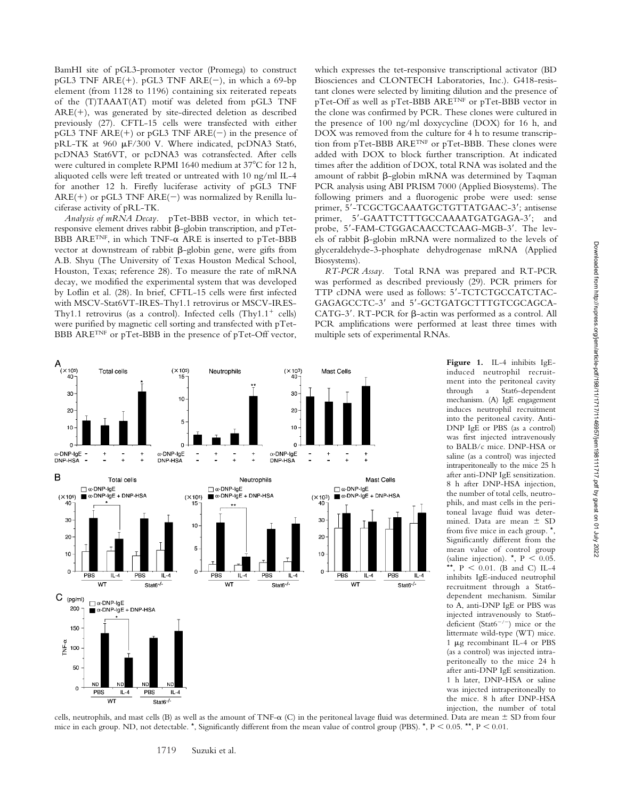BamHI site of pGL3-promoter vector (Promega) to construct pGL3 TNF ARE(+). pGL3 TNF ARE(-), in which a 69-bp element (from 1128 to 1196) containing six reiterated repeats of the (T)TAAAT(AT) motif was deleted from pGL3 TNF  $ARE(+)$ , was generated by site-directed deletion as described previously (27). CFTL-15 cells were transfected with either pGL3 TNF ARE(+) or pGL3 TNF ARE(-) in the presence of pRL-TK at 960 µF/300 V. Where indicated, pcDNA3 Stat6, pcDNA3 Stat6VT, or pcDNA3 was cotransfected. After cells were cultured in complete RPMI 1640 medium at 37°C for 12 h, aliquoted cells were left treated or untreated with 10 ng/ml IL-4 for another 12 h. Firefly luciferase activity of pGL3 TNF  $ARE(+)$  or pGL3 TNF  $ARE(-)$  was normalized by Renilla luciferase activity of pRL-TK.

*Analysis of mRNA Decay.* pTet-BBB vector, in which tetresponsive element drives rabbit  $\beta$ -globin transcription, and pTet- $\rm BBB~ARE^{TNF}$ , in which TNF- $\alpha$  ARE is inserted to pTet-BBB vector at downstream of rabbit  $\beta$ -globin gene, were gifts from A.B. Shyu (The University of Texas Houston Medical School, Houston, Texas; reference 28). To measure the rate of mRNA decay, we modified the experimental system that was developed by Loflin et al. (28). In brief, CFTL-15 cells were first infected with MSCV-Stat6VT-IRES-Thy1.1 retrovirus or MSCV-IRES-Thy1.1 retrovirus (as a control). Infected cells  $(Thy1.1<sup>+</sup>$  cells) were purified by magnetic cell sorting and transfected with pTet-BBB ARETNF or pTet-BBB in the presence of pTet-Off vector,

which expresses the tet-responsive transcriptional activator (BD Biosciences and CLONTECH Laboratories, Inc.). G418-resistant clones were selected by limiting dilution and the presence of pTet-Off as well as pTet-BBB ARETNF or pTet-BBB vector in the clone was confirmed by PCR. These clones were cultured in the presence of 100 ng/ml doxycycline (DOX) for 16 h, and DOX was removed from the culture for 4 h to resume transcription from pTet-BBB ARETNF or pTet-BBB. These clones were added with DOX to block further transcription. At indicated times after the addition of DOX, total RNA was isolated and the amount of rabbit  $\beta$ -globin mRNA was determined by Taqman PCR analysis using ABI PRISM 7000 (Applied Biosystems). The following primers and a fluorogenic probe were used: sense primer, 5'-TCGCTGCAAATGCTGTTATGAAC-3'; antisense primer, 5'-GAATTCTTTGCCAAAATGATGAGA-3'; and probe, 5'-FAM-CTGGACAACCTCAAG-MGB-3'. The levels of rabbit  $\beta$ -globin mRNA were normalized to the levels of glyceraldehyde-3-phosphate dehydrogenase mRNA (Applied Biosystems).

*RT-PCR Assay.* Total RNA was prepared and RT-PCR was performed as described previously (29). PCR primers for TTP cDNA were used as follows: 5'-TCTCTGCCATCTAC-GAGAGCCTC-3' and 5'-GCTGATGCTTTGTCGCAGCA-CATG-3'. RT-PCR for  $\beta$ -actin was performed as a control. All PCR amplifications were performed at least three times with multiple sets of experimental RNAs.



**Figure 1.** IL-4 inhibits IgEinduced neutrophil recruitment into the peritoneal cavity through a Stat6-dependent mechanism. (A) IgE engagement induces neutrophil recruitment into the peritoneal cavity. Anti-DNP IgE or PBS (as a control) was first injected intravenously to BALB/c mice. DNP-HSA or saline (as a control) was injected intraperitoneally to the mice 25 h after anti-DNP IgE sensitization. 8 h after DNP-HSA injection, the number of total cells, neutrophils, and mast cells in the peritoneal lavage fluid was determined. Data are mean  $\pm$  SD from five mice in each group. \*, Significantly different from the mean value of control group (saline injection).  $\star$ , P < 0.05. \*\*,  $P < 0.01$ . (B and C) IL-4 inhibits IgE-induced neutrophil recruitment through a Stat6 dependent mechanism. Similar to A, anti-DNP IgE or PBS was injected intravenously to Stat6 deficient (Stat6<sup>-/-</sup>) mice or the littermate wild-type (WT) mice. 1 µg recombinant IL-4 or PBS (as a control) was injected intraperitoneally to the mice 24 h after anti-DNP IgE sensitization. 1 h later, DNP-HSA or saline was injected intraperitoneally to the mice. 8 h after DNP-HSA injection, the number of total

cells, neutrophils, and mast cells (B) as well as the amount of TNF- $\alpha$  (C) in the peritoneal lavage fluid was determined. Data are mean  $\pm$  SD from four mice in each group. ND, not detectable. \*, Significantly different from the mean value of control group (PBS). \*,  $P < 0.05$ . \*\*,  $P < 0.01$ .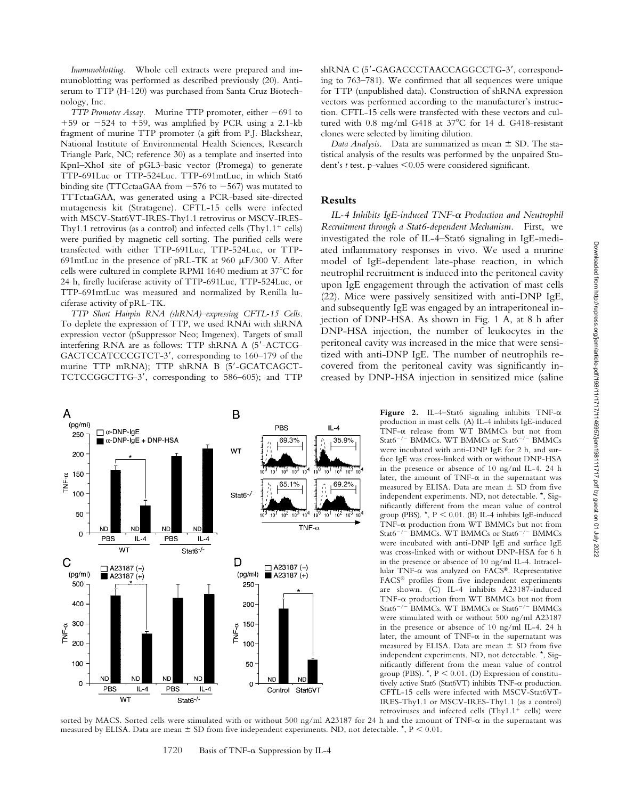*Immunoblotting.* Whole cell extracts were prepared and immunoblotting was performed as described previously (20). Antiserum to TTP (H-120) was purchased from Santa Cruz Biotechnology, Inc.

*TTP Promoter Assay.* Murine TTP promoter, either  $-691$  to  $+59$  or  $-524$  to  $+59$ , was amplified by PCR using a 2.1-kb fragment of murine TTP promoter (a gift from P.J. Blackshear, National Institute of Environmental Health Sciences, Research Triangle Park, NC; reference 30) as a template and inserted into KpnI–XhoI site of pGL3-basic vector (Promega) to generate TTP-691Luc or TTP-524Luc. TTP-691mtLuc, in which Stat6 binding site (TTCctaaGAA from  $-576$  to  $-567$ ) was mutated to TTTctaaGAA, was generated using a PCR-based site-directed mutagenesis kit (Stratagene). CFTL-15 cells were infected with MSCV-Stat6VT-IRES-Thy1.1 retrovirus or MSCV-IRES-Thy1.1 retrovirus (as a control) and infected cells  $(Thy1.1<sup>+</sup>$  cells) were purified by magnetic cell sorting. The purified cells were transfected with either TTP-691Luc, TTP-524Luc, or TTP-691mtLuc in the presence of pRL-TK at 960  $\mu$ F/300 V. After cells were cultured in complete RPMI 1640 medium at 37°C for 24 h, firefly luciferase activity of TTP-691Luc, TTP-524Luc, or TTP-691mtLuc was measured and normalized by Renilla luciferase activity of pRL-TK.

*TTP Short Hairpin RNA (shRNA)–expressing CFTL-15 Cells.* To deplete the expression of TTP, we used RNAi with shRNA expression vector (pSuppressor Neo; Imgenex). Targets of small interfering RNA are as follows: TTP shRNA A (5-ACTCG-GACTCCATCCCGTCT-3', corresponding to 160-179 of the murine TTP mRNA); TTP shRNA B (5'-GCATCAGCT-TCTCCGGCTTG-3, corresponding to 586–605); and TTP



shRNA C (5'-GAGACCCTAACCAGGCCTG-3', corresponding to 763–781). We confirmed that all sequences were unique for TTP (unpublished data). Construction of shRNA expression vectors was performed according to the manufacturer's instruction. CFTL-15 cells were transfected with these vectors and cultured with  $0.8$  mg/ml G418 at  $37^{\circ}$ C for 14 d. G418-resistant clones were selected by limiting dilution.

*Data Analysis.* Data are summarized as mean  $\pm$  SD. The statistical analysis of the results was performed by the unpaired Student's *t* test. p-values 0.05 were considered significant.

## **Results**

IL-4 Inhibits IgE-induced TNF- $\alpha$  Production and Neutrophil *Recruitment through a Stat6-dependent Mechanism.* First, we investigated the role of IL-4–Stat6 signaling in IgE-mediated inflammatory responses in vivo. We used a murine model of IgE-dependent late-phase reaction, in which neutrophil recruitment is induced into the peritoneal cavity upon IgE engagement through the activation of mast cells (22). Mice were passively sensitized with anti-DNP IgE, and subsequently IgE was engaged by an intraperitoneal injection of DNP-HSA. As shown in Fig. 1 A, at 8 h after DNP-HSA injection, the number of leukocytes in the peritoneal cavity was increased in the mice that were sensitized with anti-DNP IgE. The number of neutrophils recovered from the peritoneal cavity was significantly increased by DNP-HSA injection in sensitized mice (saline

> Figure 2. IL-4-Stat6 signaling inhibits  $TNF-\alpha$ production in mast cells. (A) IL-4 inhibits IgE-induced TNF- $\alpha$  release from WT BMMCs but not from Stat $6^{-/-}$  BMMCs. WT BMMCs or Stat $6^{-/-}$  BMMCs were incubated with anti-DNP IgE for 2 h, and surface IgE was cross-linked with or without DNP-HSA in the presence or absence of 10 ng/ml IL-4. 24 h later, the amount of  $TNF-\alpha$  in the supernatant was measured by ELISA. Data are mean  $\pm$  SD from five independent experiments. ND, not detectable. \*, Significantly different from the mean value of control group (PBS).  $\star$ , P < 0.01. (B) IL-4 inhibits IgE-induced TNF- $\alpha$  production from WT BMMCs but not from Stat6<sup>-/-</sup> BMMCs. WT BMMCs or Stat6<sup>-/-</sup> BMMCs were incubated with anti-DNP IgE and surface IgE was cross-linked with or without DNP-HSA for 6 h in the presence or absence of 10 ng/ml IL-4. Intracellular TNF-α was analyzed on FACS®. Representative FACS® profiles from five independent experiments are shown. (C) IL-4 inhibits A23187-induced  $TNF-\alpha$  production from WT BMMCs but not from Stat6<sup>-/-</sup> BMMCs. WT BMMCs or Stat6<sup>-/-</sup> BMMCs were stimulated with or without 500 ng/ml A23187 in the presence or absence of 10 ng/ml IL-4. 24 h later, the amount of  $TNF-\alpha$  in the supernatant was measured by ELISA. Data are mean  $\pm$  SD from five independent experiments. ND, not detectable. \*, Significantly different from the mean value of control group (PBS).  $\star$ , P < 0.01. (D) Expression of constitutively active Stat6 (Stat6VT) inhibits  $TNF-\alpha$  production. CFTL-15 cells were infected with MSCV-Stat6VT-IRES-Thy1.1 or MSCV-IRES-Thy1.1 (as a control) retroviruses and infected cells  $(Thy1.1<sup>+</sup>$  cells) were

sorted by MACS. Sorted cells were stimulated with or without 500 ng/ml A23187 for 24 h and the amount of TNF- $\alpha$  in the supernatant was measured by ELISA. Data are mean  $\pm$  SD from five independent experiments. ND, not detectable.  $\star$ , P < 0.01.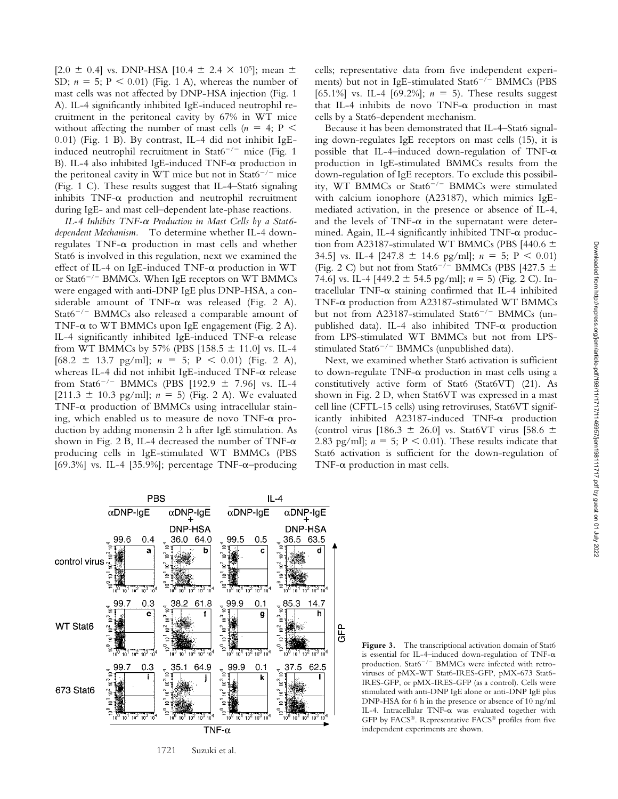$[2.0 \pm 0.4]$  vs. DNP-HSA  $[10.4 \pm 2.4 \times 10^5]$ ; mean  $\pm$ SD;  $n = 5$ ;  $P < 0.01$ ) (Fig. 1 A), whereas the number of mast cells was not affected by DNP-HSA injection (Fig. 1 A). IL-4 significantly inhibited IgE-induced neutrophil recruitment in the peritoneal cavity by 67% in WT mice without affecting the number of mast cells  $(n = 4; P \leq$ 0.01) (Fig. 1 B). By contrast, IL-4 did not inhibit IgEinduced neutrophil recruitment in Stat $6^{-/-}$  mice (Fig. 1) B). IL-4 also inhibited IgE-induced TNF- $\alpha$  production in the peritoneal cavity in WT mice but not in Stat6<sup>-/-</sup> mice (Fig. 1 C). These results suggest that IL-4–Stat6 signaling inhibits  $TNF-\alpha$  production and neutrophil recruitment during IgE- and mast cell–dependent late-phase reactions.

IL-4 Inhibits TNF-α Production in Mast Cells by a Stat6*dependent Mechanism.* To determine whether IL-4 down $regulates$  TNF- $\alpha$  production in mast cells and whether Stat6 is involved in this regulation, next we examined the effect of IL-4 on IgE-induced  $TNF-\alpha$  production in WT or Stat $6^{-/-}$  BMMCs. When IgE receptors on WT BMMCs were engaged with anti-DNP IgE plus DNP-HSA, a considerable amount of TNF- $\alpha$  was released (Fig. 2 A). Stat $6^{-/-}$  BMMCs also released a comparable amount of TNF- $\alpha$  to WT BMMCs upon IgE engagement (Fig. 2 A). IL-4 significantly inhibited IgE-induced  $TNF-\alpha$  release from WT BMMCs by 57% (PBS [158.5  $\pm$  11.0] vs. IL-4  $[68.2 \pm 13.7 \text{ pg/ml}]$ ;  $n = 5$ ;  $P < 0.01$ ) (Fig. 2 A), whereas IL-4 did not inhibit IgE-induced  $TNF-\alpha$  release from Stat6<sup>-/-</sup> BMMCs (PBS [192.9  $\pm$  7.96] vs. IL-4 [211.3  $\pm$  10.3 pg/ml]; *n* = 5) (Fig. 2 A). We evaluated  $TNF-\alpha$  production of BMMCs using intracellular staining, which enabled us to measure de novo  $\text{TNF-}\alpha$  production by adding monensin 2 h after IgE stimulation. As shown in Fig. 2 B, IL-4 decreased the number of TNF- $\alpha$ producing cells in IgE-stimulated WT BMMCs (PBS [69.3%] vs. IL-4 [35.9%]; percentage TNF- $\alpha$ -producing

cells; representative data from five independent experiments) but not in IgE-stimulated Stat $6^{-/-}$  BMMCs (PBS [65.1%] vs. IL-4 [69.2%];  $n = 5$ ). These results suggest that IL-4 inhibits de novo  $TNF-\alpha$  production in mast cells by a Stat6-dependent mechanism.

Because it has been demonstrated that IL-4–Stat6 signaling down-regulates IgE receptors on mast cells (15), it is possible that IL-4–induced down-regulation of TNF- $\alpha$ production in IgE-stimulated BMMCs results from the down-regulation of IgE receptors. To exclude this possibility, WT BMMCs or  $Stat6^{-/-}$  BMMCs were stimulated with calcium ionophore (A23187), which mimics IgEmediated activation, in the presence or absence of IL-4, and the levels of TNF- $\alpha$  in the supernatant were determined. Again, IL-4 significantly inhibited  $TNF-\alpha$  production from A23187-stimulated WT BMMCs (PBS [440.6  $\pm$ 34.5] vs. IL-4  $[247.8 \pm 14.6 \text{ pg/ml}$ ;  $n = 5$ ; P < 0.01) (Fig. 2 C) but not from Stat6<sup>-/-</sup> BMMCs (PBS [427.5  $\pm$ 74.6] vs. IL-4 [449.2  $\pm$  54.5 pg/ml];  $n = 5$ ) (Fig. 2 C). In $tracellular TNF- $\alpha$  staining confirmed that IL-4 inhibited$  $TNF-\alpha$  production from A23187-stimulated WT BMMCs but not from A23187-stimulated Stat6<sup>-/-</sup> BMMCs (unpublished data). IL-4 also inhibited  $TNF-\alpha$  production from LPS-stimulated WT BMMCs but not from LPSstimulated Stat $6^{-/-}$  BMMCs (unpublished data).

Next, we examined whether Stat6 activation is sufficient to down-regulate TNF- $\alpha$  production in mast cells using a constitutively active form of Stat6 (Stat6VT) (21). As shown in Fig. 2 D, when Stat6VT was expressed in a mast cell line (CFTL-15 cells) using retroviruses, Stat6VT significantly inhibited  $A23187$ -induced  $TNF-\alpha$  production (control virus [186.3  $\pm$  26.0] vs. Stat6VT virus [58.6  $\pm$ 2.83 pg/ml];  $n = 5$ ;  $P < 0.01$ ). These results indicate that Stat6 activation is sufficient for the down-regulation of  $TNF-\alpha$  production in mast cells.



1721 Suzuki et al.

Figure 3. The transcriptional activation domain of Stat6 is essential for IL-4-induced down-regulation of TNF- $\alpha$ production. Stat $6^{-/-}$  BMMCs were infected with retroviruses of pMX-WT Stat6-IRES-GFP, pMX-673 Stat6- IRES-GFP, or pMX-IRES-GFP (as a control). Cells were stimulated with anti-DNP IgE alone or anti-DNP IgE plus DNP-HSA for 6 h in the presence or absence of 10 ng/ml IL-4. Intracellular TNF- $\alpha$  was evaluated together with GFP by FACS®. Representative FACS® profiles from five independent experiments are shown.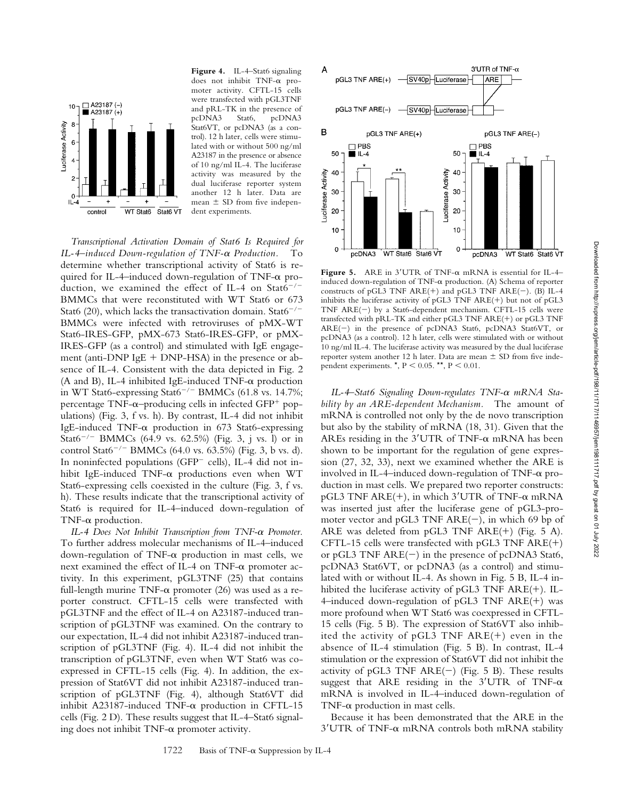

**Figure 4.** IL-4–Stat6 signaling does not inhibit  $TNF-\alpha$  promoter activity. CFTL-15 cells were transfected with pGL3TNF and pRL-TK in the presence of pcDNA3 Stat6, pcDNA3 Stat6VT, or pcDNA3 (as a control). 12 h later, cells were stimulated with or without 500 ng/ml A23187 in the presence or absence of 10 ng/ml IL-4. The luciferase activity was measured by the dual luciferase reporter system another 12 h later. Data are mean  $\pm$  SD from five independent experiments.

*Transcriptional Activation Domain of Stat6 Is Required for* IL-4–induced Down-regulation of TNF-α Production. To determine whether transcriptional activity of Stat6 is required for IL-4-induced down-regulation of TNF-a production, we examined the effect of IL-4 on Stat6<sup>-/-</sup> BMMCs that were reconstituted with WT Stat6 or 673 Stat6 (20), which lacks the transactivation domain. Stat6<sup>-/-</sup> BMMCs were infected with retroviruses of pMX-WT Stat6-IRES-GFP, pMX-673 Stat6-IRES-GFP, or pMX-IRES-GFP (as a control) and stimulated with IgE engagement (anti-DNP IgE  $+$  DNP-HSA) in the presence or absence of IL-4. Consistent with the data depicted in Fig. 2  $(A \text{ and } B)$ , IL-4 inhibited IgE-induced TNF- $\alpha$  production in WT Stat6-expressing Stat6<sup>-/-</sup> BMMCs (61.8 vs. 14.7%; percentage TNF- $\alpha$ –producing cells in infected GFP<sup>+</sup> populations) (Fig. 3, f vs. h). By contrast, IL-4 did not inhibit IgE-induced TNF- $\alpha$  production in 673 Stat6-expressing Stat6<sup>-/-</sup> BMMCs (64.9 vs. 62.5%) (Fig. 3, j vs. l) or in control Stat6<sup>-/-</sup> BMMCs (64.0 vs. 63.5%) (Fig. 3, b vs. d). In noninfected populations (GFP cells), IL-4 did not inhibit IgE-induced  $TNF-\alpha$  productions even when WT Stat6-expressing cells coexisted in the culture (Fig. 3, f vs. h). These results indicate that the transcriptional activity of Stat6 is required for IL-4–induced down-regulation of TNF- $\alpha$  production.

IL-4 Does Not Inhibit Transcription from TNF-α Promoter. To further address molecular mechanisms of IL-4–induced down-regulation of TNF- $\alpha$  production in mast cells, we next examined the effect of IL-4 on TNF- $\alpha$  promoter activity. In this experiment, pGL3TNF (25) that contains full-length murine  $TNF-\alpha$  promoter (26) was used as a reporter construct. CFTL-15 cells were transfected with pGL3TNF and the effect of IL-4 on A23187-induced transcription of pGL3TNF was examined. On the contrary to our expectation, IL-4 did not inhibit A23187-induced transcription of pGL3TNF (Fig. 4). IL-4 did not inhibit the transcription of pGL3TNF, even when WT Stat6 was coexpressed in CFTL-15 cells (Fig. 4). In addition, the expression of Stat6VT did not inhibit A23187-induced transcription of pGL3TNF (Fig. 4), although Stat6VT did inhibit A23187-induced  $TNF-\alpha$  production in CFTL-15 cells (Fig. 2 D). These results suggest that IL-4–Stat6 signaling does not inhibit  $TNF-\alpha$  promoter activity.



Figure 5. ARE in  $3'$ UTR of TNF- $\alpha$  mRNA is essential for IL-4– induced down-regulation of TNF- $\alpha$  production. (A) Schema of reporter constructs of pGL3 TNF ARE(+) and pGL3 TNF ARE(-). (B) IL-4 inhibits the luciferase activity of pGL3 TNF  $ARE(+)$  but not of pGL3 TNF  $ARE(-)$  by a Stat6-dependent mechanism. CFTL-15 cells were transfected with pRL-TK and either pGL3 TNF  $ARE(+)$  or pGL3 TNF ARE(-) in the presence of pcDNA3 Stat6, pcDNA3 Stat6VT, or pcDNA3 (as a control). 12 h later, cells were stimulated with or without 10 ng/ml IL-4. The luciferase activity was measured by the dual luciferase reporter system another 12 h later. Data are mean  $\pm$  SD from five independent experiments.  $\star$ , P < 0.05.  $\star$ , P < 0.01.

IL-4-Stat6 Signaling Down-regulates TNF- $\alpha$  mRNA Sta*bility by an ARE-dependent Mechanism.* The amount of mRNA is controlled not only by the de novo transcription but also by the stability of mRNA (18, 31). Given that the AREs residing in the  $3'$ UTR of TNF- $\alpha$  mRNA has been shown to be important for the regulation of gene expression (27, 32, 33), next we examined whether the ARE is involved in IL-4–induced down-regulation of TNF- $\alpha$  production in mast cells. We prepared two reporter constructs: pGL3 TNF ARE(+), in which 3'UTR of TNF-α mRNA was inserted just after the luciferase gene of pGL3-promoter vector and pGL3 TNF  $ARE(-)$ , in which 69 bp of ARE was deleted from  $pGL3$  TNF ARE(+) (Fig. 5 A). CFTL-15 cells were transfected with pGL3 TNF  $ARE(+)$ or pGL3 TNF  $ARE(-)$  in the presence of pcDNA3 Stat6, pcDNA3 Stat6VT, or pcDNA3 (as a control) and stimulated with or without IL-4. As shown in Fig. 5 B, IL-4 inhibited the luciferase activity of pGL3 TNF  $ARE(+)$ . IL-4-induced down-regulation of  $pGL3$  TNF ARE(+) was more profound when WT Stat6 was coexpressed in CFTL-15 cells (Fig. 5 B). The expression of Stat6VT also inhibited the activity of  $pGL3$  TNF ARE(+) even in the absence of IL-4 stimulation (Fig. 5 B). In contrast, IL-4 stimulation or the expression of Stat6VT did not inhibit the activity of pGL3 TNF  $ARE(-)$  (Fig. 5 B). These results suggest that ARE residing in the  $3'UTR$  of TNF- $\alpha$ mRNA is involved in IL-4–induced down-regulation of  $TNF-\alpha$  production in mast cells.

Because it has been demonstrated that the ARE in the 3'UTR of TNF- $\alpha$  mRNA controls both mRNA stability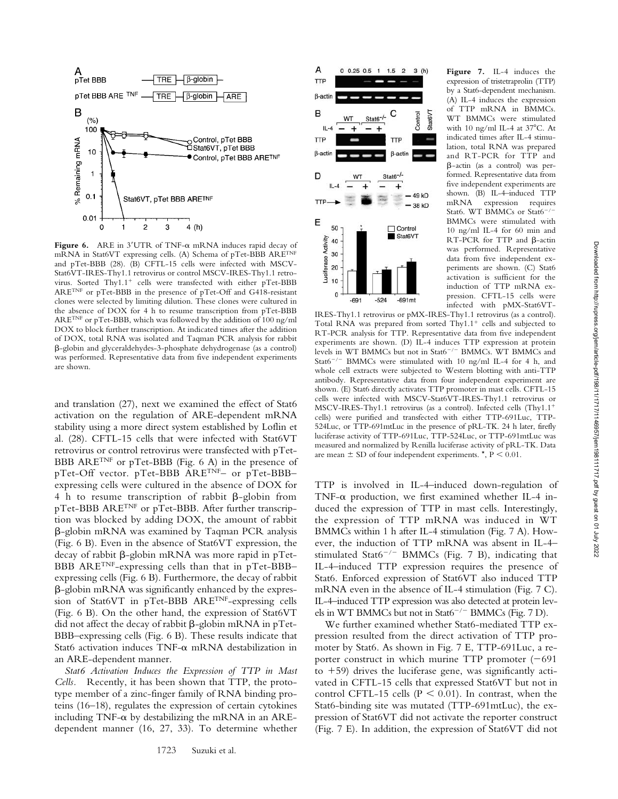

Figure  $6$ . ARE in  $3'$ UTR of TNF- $\alpha$  mRNA induces rapid decay of mRNA in Stat6VT expressing cells. (A) Schema of pTet-BBB ARETNF and pTet-BBB (28). (B) CFTL-15 cells were infected with MSCV-Stat6VT-IRES-Thy1.1 retrovirus or control MSCV-IRES-Thy1.1 retrovirus. Sorted  $Thy1.1<sup>+</sup>$  cells were transfected with either pTet-BBB ARETNF or pTet-BBB in the presence of pTet-Off and G418-resistant clones were selected by limiting dilution. These clones were cultured in the absence of DOX for 4 h to resume transcription from pTet-BBB ARETNF or pTet-BBB, which was followed by the addition of 100 ng/ml DOX to block further transcription. At indicated times after the addition of DOX, total RNA was isolated and Taqman PCR analysis for rabbit -globin and glyceraldehydes-3-phosphate dehydrogenase (as a control) was performed. Representative data from five independent experiments are shown.

and translation (27), next we examined the effect of Stat6 activation on the regulation of ARE-dependent mRNA stability using a more direct system established by Loflin et al. (28). CFTL-15 cells that were infected with Stat6VT retrovirus or control retrovirus were transfected with pTet-BBB ARETNF or pTet-BBB (Fig. 6 A) in the presence of pTet-Off vector. pTet-BBB ARETNF– or pTet-BBB– expressing cells were cultured in the absence of DOX for 4 h to resume transcription of rabbit  $\beta$ -globin from pTet-BBB ARETNF or pTet-BBB. After further transcription was blocked by adding DOX, the amount of rabbit -globin mRNA was examined by Taqman PCR analysis (Fig. 6 B). Even in the absence of Stat6VT expression, the decay of rabbit  $\beta$ -globin mRNA was more rapid in pTet-BBB ARETNF-expressing cells than that in pTet-BBB– expressing cells (Fig. 6 B). Furthermore, the decay of rabbit -globin mRNA was significantly enhanced by the expression of Stat6VT in pTet-BBB ARETNF-expressing cells (Fig. 6 B). On the other hand, the expression of Stat6VT did not affect the decay of rabbit  $\beta$ -globin mRNA in pTet-BBB–expressing cells (Fig. 6 B). These results indicate that Stat6 activation induces TNF- $\alpha$  mRNA destabilization in an ARE-dependent manner.

*Stat6 Activation Induces the Expression of TTP in Mast Cells.* Recently, it has been shown that TTP, the prototype member of a zinc-finger family of RNA binding proteins (16–18), regulates the expression of certain cytokines including TNF- $\alpha$  by destabilizing the mRNA in an AREdependent manner (16, 27, 33). To determine whether



**Figure 7.** IL-4 induces the expression of tristetraprolin (TTP) by a Stat6-dependent mechanism. (A) IL-4 induces the expression of TTP mRNA in BMMCs. WT BMMCs were stimulated with 10 ng/ml IL-4 at  $37^{\circ}$ C. At indicated times after IL-4 stimulation, total RNA was prepared and RT-PCR for TTP and -actin (as a control) was performed. Representative data from five independent experiments are shown. (B) IL-4–induced TTP mRNA expression requires Stat6. WT BMMCs or Stat6<sup>-/-</sup> BMMCs were stimulated with 10 ng/ml IL-4 for 60 min and  $RT-PCR$  for  $TTP$  and  $\beta$ -actin was performed. Representative data from five independent experiments are shown. (C) Stat6 activation is sufficient for the induction of TTP mRNA expression. CFTL-15 cells were infected with pMX-Stat6VT-

IRES-Thy1.1 retrovirus or pMX-IRES-Thy1.1 retrovirus (as a control). Total RNA was prepared from sorted  $Thy1.1<sup>+</sup>$  cells and subjected to RT-PCR analysis for TTP. Representative data from five independent experiments are shown. (D) IL-4 induces TTP expression at protein levels in WT BMMCs but not in Stat6<sup>-/-</sup> BMMCs. WT BMMCs and Stat6<sup>-/-</sup> BMMCs were stimulated with 10 ng/ml IL-4 for 4 h, and whole cell extracts were subjected to Western blotting with anti-TTP antibody. Representative data from four independent experiment are shown. (E) Stat6 directly activates TTP promoter in mast cells. CFTL-15 cells were infected with MSCV-Stat6VT-IRES-Thy1.1 retrovirus or MSCV-IRES-Thy1.1 retrovirus (as a control). Infected cells (Thy1.1 cells) were purified and transfected with either TTP-691Luc, TTP-524Luc, or TTP-691mtLuc in the presence of pRL-TK. 24 h later, firefly luciferase activity of TTP-691Luc, TTP-524Luc, or TTP-691mtLuc was measured and normalized by Renilla luciferase activity of pRL-TK. Data are mean  $\pm$  SD of four independent experiments.  $^{\star}$ , P < 0.01.

TTP is involved in IL-4–induced down-regulation of TNF- $\alpha$  production, we first examined whether IL-4 induced the expression of TTP in mast cells. Interestingly, the expression of TTP mRNA was induced in WT BMMCs within 1 h after IL-4 stimulation (Fig. 7 A). However, the induction of TTP mRNA was absent in IL-4– stimulated Stat6<sup>-/-</sup> BMMCs (Fig. 7 B), indicating that IL-4–induced TTP expression requires the presence of Stat6. Enforced expression of Stat6VT also induced TTP mRNA even in the absence of IL-4 stimulation (Fig. 7 C). IL-4–induced TTP expression was also detected at protein levels in WT BMMCs but not in Stat $6^{-/-}$  BMMCs (Fig. 7 D).

We further examined whether Stat6-mediated TTP expression resulted from the direct activation of TTP promoter by Stat6. As shown in Fig. 7 E, TTP-691Luc, a reporter construct in which murine TTP promoter  $(-691)$ to  $+59$ ) drives the luciferase gene, was significantly activated in CFTL-15 cells that expressed Stat6VT but not in control CFTL-15 cells ( $P < 0.01$ ). In contrast, when the Stat6-binding site was mutated (TTP-691mtLuc), the expression of Stat6VT did not activate the reporter construct (Fig. 7 E). In addition, the expression of Stat6VT did not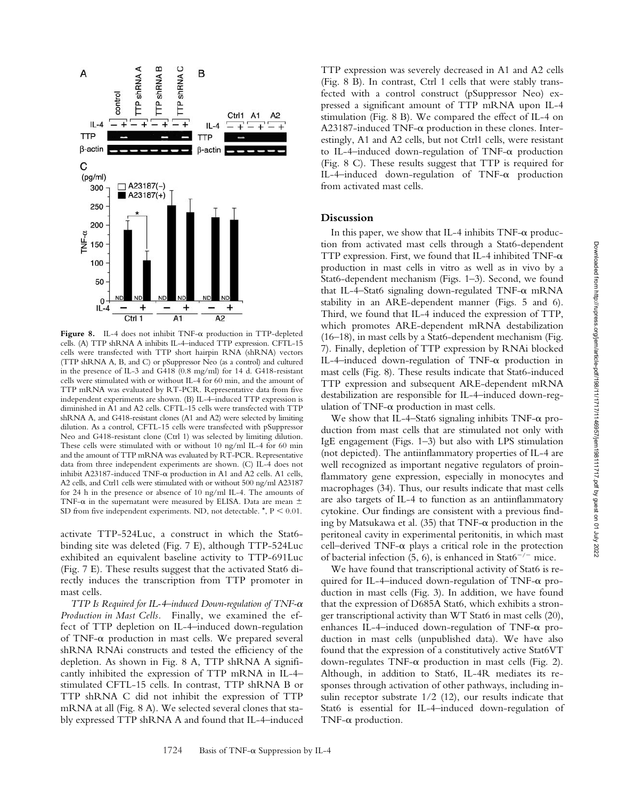

Figure 8. IL-4 does not inhibit TNF- $\alpha$  production in TTP-depleted cells. (A) TTP shRNA A inhibits IL-4–induced TTP expression. CFTL-15 cells were transfected with TTP short hairpin RNA (shRNA) vectors (TTP shRNA A, B, and C) or pSuppressor Neo (as a control) and cultured in the presence of IL-3 and G418 (0.8 mg/ml) for 14 d. G418-resistant cells were stimulated with or without IL-4 for 60 min, and the amount of TTP mRNA was evaluated by RT-PCR. Representative data from five independent experiments are shown. (B) IL-4–induced TTP expression is diminished in A1 and A2 cells. CFTL-15 cells were transfected with TTP shRNA A, and G418-resistant clones (A1 and A2) were selected by limiting dilution. As a control, CFTL-15 cells were transfected with pSuppressor Neo and G418-resistant clone (Ctrl 1) was selected by limiting dilution. These cells were stimulated with or without 10 ng/ml IL-4 for 60 min and the amount of TTP mRNA was evaluated by RT-PCR. Representative data from three independent experiments are shown. (C) IL-4 does not inhibit A23187-induced TNF- $\alpha$  production in A1 and A2 cells. A1 cells, A2 cells, and Ctrl1 cells were stimulated with or without 500 ng/ml A23187 for 24 h in the presence or absence of 10 ng/ml IL-4. The amounts of TNF- $\alpha$  in the supernatant were measured by ELISA. Data are mean  $\pm$ SD from five independent experiments. ND, not detectable.  $*$ ,  $P < 0.01$ .

activate TTP-524Luc, a construct in which the Stat6 binding site was deleted (Fig. 7 E), although TTP-524Luc exhibited an equivalent baseline activity to TTP-691Luc (Fig. 7 E). These results suggest that the activated Stat6 directly induces the transcription from TTP promoter in mast cells.

*TTP Is Required for IL-4–induced Down-regulation of TNF-* $\alpha$ *Production in Mast Cells.* Finally, we examined the effect of TTP depletion on IL-4–induced down-regulation of TNF- $\alpha$  production in mast cells. We prepared several shRNA RNAi constructs and tested the efficiency of the depletion. As shown in Fig. 8 A, TTP shRNA A significantly inhibited the expression of TTP mRNA in IL-4– stimulated CFTL-15 cells. In contrast, TTP shRNA B or TTP shRNA C did not inhibit the expression of TTP mRNA at all (Fig. 8 A). We selected several clones that stably expressed TTP shRNA A and found that IL-4–induced TTP expression was severely decreased in A1 and A2 cells (Fig. 8 B). In contrast, Ctrl 1 cells that were stably transfected with a control construct (pSuppressor Neo) expressed a significant amount of TTP mRNA upon IL-4 stimulation (Fig. 8 B). We compared the effect of IL-4 on  $A23187$ -induced TNF- $\alpha$  production in these clones. Interestingly, A1 and A2 cells, but not Ctrl1 cells, were resistant to IL-4-induced down-regulation of  $TNF-\alpha$  production (Fig. 8 C). These results suggest that TTP is required for IL-4-induced down-regulation of  $TNF-\alpha$  production from activated mast cells.

## **Discussion**

In this paper, we show that IL-4 inhibits  $TNF-\alpha$  production from activated mast cells through a Stat6-dependent TTP expression. First, we found that IL-4 inhibited TNF- $\alpha$ production in mast cells in vitro as well as in vivo by a Stat6-dependent mechanism (Figs. 1–3). Second, we found that IL-4-Stat6 signaling down-regulated  $TNF-\alpha$  mRNA stability in an ARE-dependent manner (Figs. 5 and 6). Third, we found that IL-4 induced the expression of TTP, which promotes ARE-dependent mRNA destabilization (16–18), in mast cells by a Stat6-dependent mechanism (Fig. 7). Finally, depletion of TTP expression by RNAi blocked IL-4-induced down-regulation of TNF-a production in mast cells (Fig. 8). These results indicate that Stat6-induced TTP expression and subsequent ARE-dependent mRNA destabilization are responsible for IL-4–induced down-regulation of TNF- $\alpha$  production in mast cells.

We show that IL-4-Stat6 signaling inhibits  $TNF-\alpha$  production from mast cells that are stimulated not only with IgE engagement (Figs. 1–3) but also with LPS stimulation (not depicted). The antiinflammatory properties of IL-4 are well recognized as important negative regulators of proinflammatory gene expression, especially in monocytes and macrophages (34). Thus, our results indicate that mast cells are also targets of IL-4 to function as an antiinflammatory cytokine. Our findings are consistent with a previous finding by Matsukawa et al.  $(35)$  that TNF- $\alpha$  production in the peritoneal cavity in experimental peritonitis, in which mast  $cell$ -derived TNF- $\alpha$  plays a critical role in the protection of bacterial infection (5, 6), is enhanced in Stat6<sup>-/-</sup> mice.

We have found that transcriptional activity of Stat6 is required for IL-4-induced down-regulation of TNF-a production in mast cells (Fig. 3). In addition, we have found that the expression of D685A Stat6, which exhibits a stronger transcriptional activity than WT Stat6 in mast cells (20), enhances IL-4-induced down-regulation of TNF-a production in mast cells (unpublished data). We have also found that the expression of a constitutively active Stat6VT down-regulates TNF- $\alpha$  production in mast cells (Fig. 2). Although, in addition to Stat6, IL-4R mediates its responses through activation of other pathways, including insulin receptor substrate 1/2 (12), our results indicate that Stat6 is essential for IL-4–induced down-regulation of TNF- $\alpha$  production.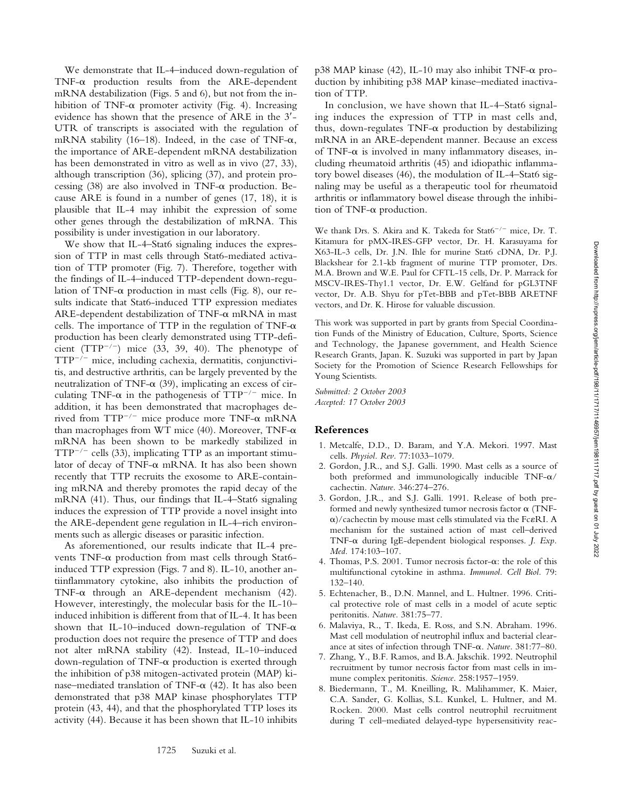We demonstrate that IL-4–induced down-regulation of  $TNF-\alpha$  production results from the ARE-dependent mRNA destabilization (Figs. 5 and 6), but not from the inhibition of TNF- $\alpha$  promoter activity (Fig. 4). Increasing evidence has shown that the presence of ARE in the 3- UTR of transcripts is associated with the regulation of mRNA stability (16–18). Indeed, in the case of TNF- $\alpha$ , the importance of ARE-dependent mRNA destabilization has been demonstrated in vitro as well as in vivo (27, 33), although transcription (36), splicing (37), and protein processing  $(38)$  are also involved in TNF- $\alpha$  production. Because ARE is found in a number of genes (17, 18), it is plausible that IL-4 may inhibit the expression of some other genes through the destabilization of mRNA. This possibility is under investigation in our laboratory.

We show that IL-4–Stat6 signaling induces the expression of TTP in mast cells through Stat6-mediated activation of TTP promoter (Fig. 7). Therefore, together with the findings of IL-4–induced TTP-dependent down-regulation of TNF- $\alpha$  production in mast cells (Fig. 8), our results indicate that Stat6-induced TTP expression mediates  $ARE-dependent destination of TNF- $\alpha$  mRNA in mast$ cells. The importance of TTP in the regulation of TNF- $\alpha$ production has been clearly demonstrated using TTP-deficient ( $TTP^{-/-}$ ) mice (33, 39, 40). The phenotype of  $TTP^{-/-}$  mice, including cachexia, dermatitis, conjunctivitis, and destructive arthritis, can be largely prevented by the neutralization of TNF- $\alpha$  (39), implicating an excess of circulating TNF- $\alpha$  in the pathogenesis of TTP<sup>-/-</sup> mice. In addition, it has been demonstrated that macrophages derived from  $TTP^{-/-}$  mice produce more TNF- $\alpha$  mRNA than macrophages from WT mice (40). Moreover, TNF- $\alpha$ mRNA has been shown to be markedly stabilized in  $TTP^{-/-}$  cells (33), implicating TTP as an important stimulator of decay of  $TNF-\alpha$  mRNA. It has also been shown recently that TTP recruits the exosome to ARE-containing mRNA and thereby promotes the rapid decay of the mRNA (41). Thus, our findings that IL-4–Stat6 signaling induces the expression of TTP provide a novel insight into the ARE-dependent gene regulation in IL-4–rich environments such as allergic diseases or parasitic infection.

As aforementioned, our results indicate that IL-4 prevents TNF- $\alpha$  production from mast cells through Stat6induced TTP expression (Figs. 7 and 8). IL-10, another antiinflammatory cytokine, also inhibits the production of  $TNF-\alpha$  through an ARE-dependent mechanism (42). However, interestingly, the molecular basis for the IL-10– induced inhibition is different from that of IL-4. It has been shown that IL-10–induced down-regulation of TNF- $\alpha$ production does not require the presence of TTP and does not alter mRNA stability (42). Instead, IL-10–induced down-regulation of TNF- $\alpha$  production is exerted through the inhibition of p38 mitogen-activated protein (MAP) kinase–mediated translation of TNF- $\alpha$  (42). It has also been demonstrated that p38 MAP kinase phosphorylates TTP protein (43, 44), and that the phosphorylated TTP loses its activity (44). Because it has been shown that IL-10 inhibits

p38 MAP kinase (42), IL-10 may also inhibit TNF- $\alpha$  production by inhibiting p38 MAP kinase–mediated inactivation of TTP.

In conclusion, we have shown that IL-4–Stat6 signaling induces the expression of TTP in mast cells and, thus, down-regulates TNF- $\alpha$  production by destabilizing mRNA in an ARE-dependent manner. Because an excess of TNF- $\alpha$  is involved in many inflammatory diseases, including rheumatoid arthritis (45) and idiopathic inflammatory bowel diseases (46), the modulation of IL-4–Stat6 signaling may be useful as a therapeutic tool for rheumatoid arthritis or inflammatory bowel disease through the inhibition of TNF- $\alpha$  production.

We thank Drs. S. Akira and K. Takeda for Stat $6^{-/-}$  mice, Dr. T. Kitamura for pMX-IRES-GFP vector, Dr. H. Karasuyama for X63-IL-3 cells, Dr. J.N. Ihle for murine Stat6 cDNA, Dr. P.J. Blackshear for 2.1-kb fragment of murine TTP promoter, Drs. M.A. Brown and W.E. Paul for CFTL-15 cells, Dr. P. Marrack for MSCV-IRES-Thy1.1 vector, Dr. E.W. Gelfand for pGL3TNF vector, Dr. A.B. Shyu for pTet-BBB and pTet-BBB ARETNF vectors, and Dr. K. Hirose for valuable discussion.

This work was supported in part by grants from Special Coordination Funds of the Ministry of Education, Culture, Sports, Science and Technology, the Japanese government, and Health Science Research Grants, Japan. K. Suzuki was supported in part by Japan Society for the Promotion of Science Research Fellowships for Young Scientists.

*Submitted: 2 October 2003 Accepted: 17 October 2003*

#### **References**

- 1. Metcalfe, D.D., D. Baram, and Y.A. Mekori. 1997. Mast cells. *Physiol. Rev.* 77:1033–1079.
- 2. Gordon, J.R., and S.J. Galli. 1990. Mast cells as a source of both preformed and immunologically inducible  $TNF-\alpha/$ cachectin. *Nature.* 346:274–276.
- 3. Gordon, J.R., and S.J. Galli. 1991. Release of both preformed and newly synthesized tumor necrosis factor  $\alpha$  (TNF--)/cachectin by mouse mast cells stimulated via the FcRI. A mechanism for the sustained action of mast cell–derived TNF-α during IgE-dependent biological responses. *J. Exp. Med.* 174:103–107.
- 4. Thomas, P.S. 2001. Tumor necrosis factor- $\alpha$ : the role of this multifunctional cytokine in asthma. *Immunol. Cell Biol.* 79: 132–140.
- 5. Echtenacher, B., D.N. Mannel, and L. Hultner. 1996. Critical protective role of mast cells in a model of acute septic peritonitis. *Nature.* 381:75–77.
- 6. Malaviya, R., T. Ikeda, E. Ross, and S.N. Abraham. 1996. Mast cell modulation of neutrophil influx and bacterial clearance at sites of infection through TNF- $\alpha$ . *Nature*. 381:77-80.
- 7. Zhang, Y., B.F. Ramos, and B.A. Jakschik. 1992. Neutrophil recruitment by tumor necrosis factor from mast cells in immune complex peritonitis. *Science.* 258:1957–1959.
- 8. Biedermann, T., M. Kneilling, R. Malihammer, K. Maier, C.A. Sander, G. Kollias, S.L. Kunkel, L. Hultner, and M. Rocken. 2000. Mast cells control neutrophil recruitment during T cell–mediated delayed-type hypersensitivity reac-

1725 Suzuki et al.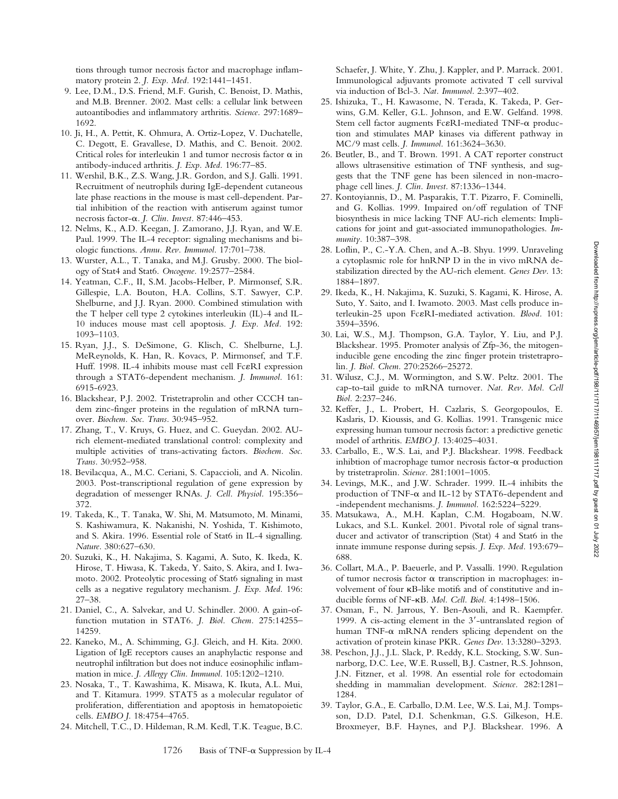tions through tumor necrosis factor and macrophage inflammatory protein 2. *J. Exp. Med.* 192:1441–1451.

- 9. Lee, D.M., D.S. Friend, M.F. Gurish, C. Benoist, D. Mathis, and M.B. Brenner. 2002. Mast cells: a cellular link between autoantibodies and inflammatory arthritis. *Science.* 297:1689– 1692.
- 10. Ji, H., A. Pettit, K. Ohmura, A. Ortiz-Lopez, V. Duchatelle, C. Degott, E. Gravallese, D. Mathis, and C. Benoit. 2002. Critical roles for interleukin 1 and tumor necrosis factor  $\alpha$  in antibody-induced arthritis. *J. Exp. Med.* 196:77–85.
- 11. Wershil, B.K., Z.S. Wang, J.R. Gordon, and S.J. Galli. 1991. Recruitment of neutrophils during IgE-dependent cutaneous late phase reactions in the mouse is mast cell-dependent. Partial inhibition of the reaction with antiserum against tumor necrosis factor-α. *J. Clin. Invest.* 87:446–453.
- 12. Nelms, K., A.D. Keegan, J. Zamorano, J.J. Ryan, and W.E. Paul. 1999. The IL-4 receptor: signaling mechanisms and biologic functions. *Annu. Rev. Immunol.* 17:701–738.
- 13. Wurster, A.L., T. Tanaka, and M.J. Grusby. 2000. The biology of Stat4 and Stat6. *Oncogene.* 19:2577–2584.
- 14. Yeatman, C.F., II, S.M. Jacobs-Helber, P. Mirmonsef, S.R. Gillespie, L.A. Bouton, H.A. Collins, S.T. Sawyer, C.P. Shelburne, and J.J. Ryan. 2000. Combined stimulation with the T helper cell type 2 cytokines interleukin (IL)-4 and IL-10 induces mouse mast cell apoptosis. *J. Exp. Med.* 192: 1093–1103.
- 15. Ryan, J.J., S. DeSimone, G. Klisch, C. Shelburne, L.J. MeReynolds, K. Han, R. Kovacs, P. Mirmonsef, and T.F. Huff. 1998. IL-4 inhibits mouse mast cell Fc&RI expression through a STAT6-dependent mechanism. *J. Immunol.* 161: 6915-6923.
- 16. Blackshear, P.J. 2002. Tristetraprolin and other CCCH tandem zinc-finger proteins in the regulation of mRNA turnover. *Biochem. Soc. Trans.* 30:945–952.
- 17. Zhang, T., V. Kruys, G. Huez, and C. Gueydan. 2002. AUrich element-mediated translational control: complexity and multiple activities of trans-activating factors. *Biochem. Soc. Trans.* 30:952–958.
- 18. Bevilacqua, A., M.C. Ceriani, S. Capaccioli, and A. Nicolin. 2003. Post-transcriptional regulation of gene expression by degradation of messenger RNAs. *J. Cell. Physiol.* 195:356– 372.
- 19. Takeda, K., T. Tanaka, W. Shi, M. Matsumoto, M. Minami, S. Kashiwamura, K. Nakanishi, N. Yoshida, T. Kishimoto, and S. Akira. 1996. Essential role of Stat6 in IL-4 signalling. *Nature.* 380:627–630.
- 20. Suzuki, K., H. Nakajima, S. Kagami, A. Suto, K. Ikeda, K. Hirose, T. Hiwasa, K. Takeda, Y. Saito, S. Akira, and I. Iwamoto. 2002. Proteolytic processing of Stat6 signaling in mast cells as a negative regulatory mechanism. *J. Exp. Med.* 196: 27–38.
- 21. Daniel, C., A. Salvekar, and U. Schindler. 2000. A gain-offunction mutation in STAT6. *J. Biol. Chem.* 275:14255– 14259.
- 22. Kaneko, M., A. Schimming, G.J. Gleich, and H. Kita. 2000. Ligation of IgE receptors causes an anaphylactic response and neutrophil infiltration but does not induce eosinophilic inflammation in mice. *J. Allergy Clin. Immunol.* 105:1202–1210.
- 23. Nosaka, T., T. Kawashima, K. Misawa, K. Ikuta, A.L. Mui, and T. Kitamura. 1999. STAT5 as a molecular regulator of proliferation, differentiation and apoptosis in hematopoietic cells. *EMBO J.* 18:4754–4765.
- 24. Mitchell, T.C., D. Hildeman, R.M. Kedl, T.K. Teague, B.C.

Schaefer, J. White, Y. Zhu, J. Kappler, and P. Marrack. 2001. Immunological adjuvants promote activated T cell survival via induction of Bcl-3. *Nat. Immunol.* 2:397–402.

- 25. Ishizuka, T., H. Kawasome, N. Terada, K. Takeda, P. Gerwins, G.M. Keller, G.L. Johnson, and E.W. Gelfand. 1998. Stem cell factor augments Fc&RI-mediated TNF- $\alpha$  production and stimulates MAP kinases via different pathway in MC/9 mast cells. *J. Immunol.* 161:3624–3630.
- 26. Beutler, B., and T. Brown. 1991. A CAT reporter construct allows ultrasensitive estimation of TNF synthesis, and suggests that the TNF gene has been silenced in non-macrophage cell lines. *J. Clin. Invest.* 87:1336–1344.
- 27. Kontoyiannis, D., M. Pasparakis, T.T. Pizarro, F. Cominelli, and G. Kollias. 1999. Impaired on/off regulation of TNF biosynthesis in mice lacking TNF AU-rich elements: Implications for joint and gut-associated immunopathologies. *Immunity.* 10:387–398.
- 28. Loflin, P., C.-Y.A. Chen, and A.-B. Shyu. 1999. Unraveling a cytoplasmic role for hnRNP D in the in vivo mRNA destabilization directed by the AU-rich element. *Genes Dev.* 13: 1884–1897.
- 29. Ikeda, K., H. Nakajima, K. Suzuki, S. Kagami, K. Hirose, A. Suto, Y. Saito, and I. Iwamoto. 2003. Mast cells produce interleukin-25 upon FcRI-mediated activation. *Blood.* 101: 3594–3596.
- 30. Lai, W.S., M.J. Thompson, G.A. Taylor, Y. Liu, and P.J. Blackshear. 1995. Promoter analysis of Zfp-36, the mitogeninducible gene encoding the zinc finger protein tristetraprolin. *J. Biol. Chem.* 270:25266–25272.
- 31. Wilusz, C.J., M. Wormington, and S.W. Peltz. 2001. The cap-to-tail guide to mRNA turnover. *Nat. Rev. Mol. Cell Biol.* 2:237–246.
- 32. Keffer, J., L. Probert, H. Cazlaris, S. Georgopoulos, E. Kaslaris, D. Kioussis, and G. Kollias. 1991. Transgenic mice expressing human tumour necrosis factor: a predictive genetic model of arthritis. *EMBO J.* 13:4025–4031.
- 33. Carballo, E., W.S. Lai, and P.J. Blackshear. 1998. Feedback inhibtion of macrophage tumor necrosis factor- $\alpha$  production by tristetraprolin. *Science.* 281:1001–1005.
- 34. Levings, M.K., and J.W. Schrader. 1999. IL-4 inhibits the production of TNF- $\alpha$  and IL-12 by STAT6-dependent and -independent mechanisms. *J. Immunol.* 162:5224–5229.
- 35. Matsukawa, A., M.H. Kaplan, C.M. Hogaboam, N.W. Lukacs, and S.L. Kunkel. 2001. Pivotal role of signal transducer and activator of transcription (Stat) 4 and Stat6 in the innate immune response during sepsis. *J. Exp. Med.* 193:679– 688.
- 36. Collart, M.A., P. Baeuerle, and P. Vassalli. 1990. Regulation of tumor necrosis factor  $\alpha$  transcription in macrophages: involvement of four  $\kappa$ B-like motifs and of constitutive and inducible forms of NF-KB. *Mol. Cell. Biol.* 4:1498-1506.
- 37. Osman, F., N. Jarrous, Y. Ben-Asouli, and R. Kaempfer. 1999. A cis-acting element in the 3'-untranslated region of human TNF- $\alpha$  mRNA renders splicing dependent on the activation of protein kinase PKR. *Genes Dev.* 13:3280–3293.
- 38. Peschon, J.J., J.L. Slack, P. Reddy, K.L. Stocking, S.W. Sunnarborg, D.C. Lee, W.E. Russell, B.J. Castner, R.S. Johnson, J.N. Fitzner, et al. 1998. An essential role for ectodomain shedding in mammalian development. *Science.* 282:1281– 1284.
- 39. Taylor, G.A., E. Carballo, D.M. Lee, W.S. Lai, M.J. Tompsson, D.D. Patel, D.I. Schenkman, G.S. Gilkeson, H.E. Broxmeyer, B.F. Haynes, and P.J. Blackshear. 1996. A